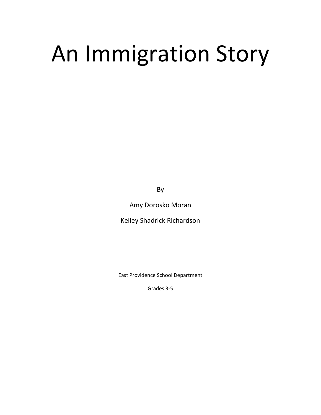# An Immigration Story

By

Amy Dorosko Moran

Kelley Shadrick Richardson

East Providence School Department

Grades 3‐5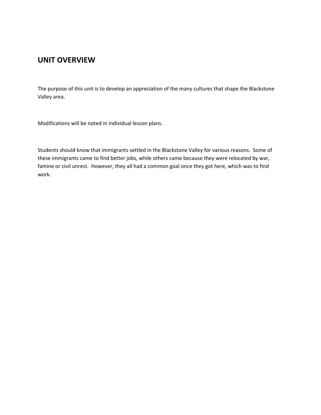## **UNIT OVERVIEW**

The purpose of this unit is to develop an appreciation of the many cultures that shape the Blackstone Valley area.

Modifications will be noted in individual lesson plans.

Students should know that immigrants settled in the Blackstone Valley for various reasons. Some of these immigrants came to find better jobs, while others came because they were relocated by war, famine or civil unrest. However, they all had a common goal once they got here, which was to find work.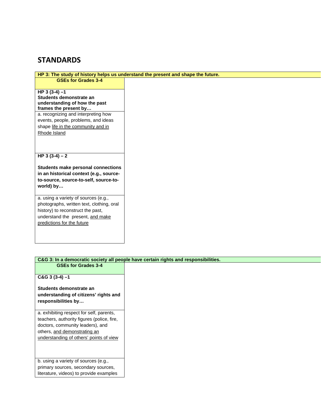## **STANDARDS**

**HP 3: The study of history helps us understand the present and shape the future.**

#### **GSEs for Grades 3-4 HP 3 (3-4) –1 Students demonstrate an understanding of how the past**

**frames the present by…**  a. recognizing and interpreting how events, people, problems, and ideas shape life in the community and in Rhode Island

**HP 3 (3-4) – 2** 

**Students make personal connections in an historical context (e.g., sourceto-source, source-to-self, source-toworld) by…** 

a. using a variety of sources (e.g., photographs, written text, clothing, oral history) to reconstruct the past, understand the present, and make predictions for the future

#### **C&G 3: In a democratic society all people have certain rights and responsibilities.**

**GSEs for Grades 3-4** 

**C&G 3 (3-4) –1** 

**Students demonstrate an understanding of citizens' rights and responsibilities by…** 

a. exhibiting respect for self, parents, teachers, authority figures (police, fire, doctors, community leaders), and others, and demonstrating an understanding of others' points of view

b. using a variety of sources (e.g., primary sources, secondary sources, literature, videos) to provide examples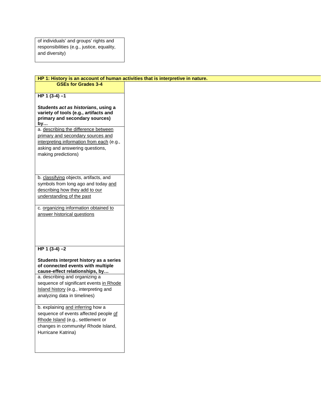of individuals' and groups' rights and responsibilities (e.g., justice, equality, and diversity)

| HP 1: History is an account of human activities that is interpretive in nature. |
|---------------------------------------------------------------------------------|
| <b>GSEs for Grades 3-4</b>                                                      |
|                                                                                 |
| $HP$ 1 (3-4) -1                                                                 |
|                                                                                 |
| Students act as historians, using a                                             |
| variety of tools (e.g., artifacts and                                           |
| primary and secondary sources)                                                  |
| by                                                                              |
| a. describing the difference between                                            |
| primary and secondary sources and                                               |
| interpreting information from each (e.g.,                                       |
| asking and answering questions,                                                 |
| making predictions)                                                             |
|                                                                                 |
|                                                                                 |
|                                                                                 |
| b. classifying objects, artifacts, and                                          |
| symbols from long ago and today and                                             |
| describing how they add to our                                                  |
| understanding of the past                                                       |
|                                                                                 |
| c. organizing information obtained to                                           |
| answer historical questions                                                     |
|                                                                                 |
|                                                                                 |
|                                                                                 |
|                                                                                 |
|                                                                                 |
| $HP 1 (3-4) -2$                                                                 |
|                                                                                 |
| Students interpret history as a series                                          |
| of connected events with multiple                                               |
| cause-effect relationships, by                                                  |
| a. describing and organizing a                                                  |
| sequence of significant events in Rhode                                         |
| Island history (e.g., interpreting and                                          |
| analyzing data in timelines)                                                    |
|                                                                                 |
| b. explaining and inferring how a                                               |
| sequence of events affected people of                                           |
| Rhode Island (e.g., settlement or                                               |
| changes in community/ Rhode Island,                                             |
| Hurricane Katrina)                                                              |
|                                                                                 |
|                                                                                 |
|                                                                                 |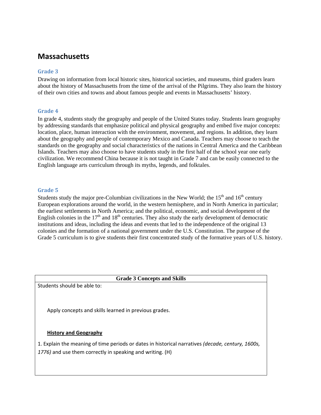## **Massachusetts**

#### **Grade 3**

Drawing on information from local historic sites, historical societies, and museums, third graders learn about the history of Massachusetts from the time of the arrival of the Pilgrims. They also learn the history of their own cities and towns and about famous people and events in Massachusetts' history.

#### **Grade 4**

In grade 4, students study the geography and people of the United States today. Students learn geography by addressing standards that emphasize political and physical geography and embed five major concepts: location, place, human interaction with the environment, movement, and regions. In addition, they learn about the geography and people of contemporary Mexico and Canada. Teachers may choose to teach the standards on the geography and social characteristics of the nations in Central America and the Caribbean Islands. Teachers may also choose to have students study in the first half of the school year one early civilization. We recommend China because it is not taught in Grade 7 and can be easily connected to the English language arts curriculum through its myths, legends, and folktales.

#### **Grade 5**

Students study the major pre-Columbian civilizations in the New World; the  $15<sup>th</sup>$  and  $16<sup>th</sup>$  century European explorations around the world, in the western hemisphere, and in North America in particular; the earliest settlements in North America; and the political, economic, and social development of the English colonies in the  $17<sup>th</sup>$  and  $18<sup>th</sup>$  centuries. They also study the early development of democratic institutions and ideas, including the ideas and events that led to the independence of the original 13 colonies and the formation of a national government under the U.S. Constitution. The purpose of the Grade 5 curriculum is to give students their first concentrated study of the formative years of U.S. history.

| <b>Grade 3 Concepts and Skills</b>                                                                                                                             |  |  |  |  |
|----------------------------------------------------------------------------------------------------------------------------------------------------------------|--|--|--|--|
| Students should be able to:                                                                                                                                    |  |  |  |  |
| Apply concepts and skills learned in previous grades.                                                                                                          |  |  |  |  |
| <b>History and Geography</b>                                                                                                                                   |  |  |  |  |
| 1. Explain the meaning of time periods or dates in historical narratives (decade, century, 1600s,<br>1776) and use them correctly in speaking and writing. (H) |  |  |  |  |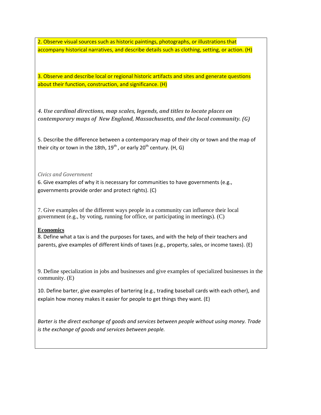2. Observe visual sources such as historic paintings, photographs, or illustrations that accompany historical narratives, and describe details such as clothing, setting, or action. (H)

3. Observe and describe local or regional historic artifacts and sites and generate questions about their function, construction, and significance. (H)

*4. Use cardinal directions, map scales, legends, and titles to locate places on contemporary maps of New England, Massachusetts, and the local community. (G)*

5. Describe the difference between a contemporary map of their city or town and the map of their city or town in the 18th,  $19^{th}$ , or early 20<sup>th</sup> century. (H, G)

#### *Civics and Government*

6. Give examples of why it is necessary for communities to have governments (e.g., governments provide order and protect rights). (C)

7. Give examples of the different ways people in a community can influence their local government (e.g., by voting, running for office, or participating in meetings). (C)

#### **Economics**

8. Define what a tax is and the purposes for taxes, and with the help of their teachers and parents, give examples of different kinds of taxes (e.g., property, sales, or income taxes). (E)

9. Define specialization in jobs and businesses and give examples of specialized businesses in the community. (E)

10. Define barter, give examples of bartering (e.g., trading baseball cards with each other), and explain how money makes it easier for people to get things they want. (E)

*Barter is the direct exchange of goods and services between people without using money. Trade is the exchange of goods and services between people.*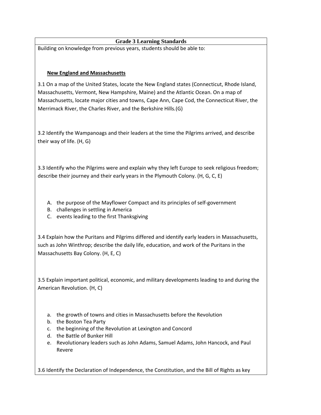#### **Grade 3 Learning Standards**

Building on knowledge from previous years, students should be able to:

#### **New England and Massachusetts**

3.1 On a map of the United States, locate the New England states (Connecticut, Rhode Island, Massachusetts, Vermont, New Hampshire, Maine) and the Atlantic Ocean. On a map of Massachusetts, locate major cities and towns, Cape Ann, Cape Cod, the Connecticut River, the Merrimack River, the Charles River, and the Berkshire Hills*.*(G)

3.2 Identify the Wampanoags and their leaders at the time the Pilgrims arrived, and describe their way of life. (H, G)

3.3 Identify who the Pilgrims were and explain why they left Europe to seek religious freedom; describe their journey and their early years in the Plymouth Colony. (H, G, C, E)

- A. the purpose of the Mayflower Compact and its principles of self‐government
- B. challenges in settling in America
- C. events leading to the first Thanksgiving

3.4 Explain how the Puritans and Pilgrims differed and identify early leaders in Massachusetts, such as John Winthrop; describe the daily life, education, and work of the Puritans in the Massachusetts Bay Colony. (H, E, C)

3.5 Explain important political, economic, and military developments leading to and during the American Revolution. (H, C)

- a. the growth of towns and cities in Massachusetts before the Revolution
- b. the Boston Tea Party
- c. the beginning of the Revolution at Lexington and Concord
- d. the Battle of Bunker Hill
- e. Revolutionary leaders such as John Adams, Samuel Adams, John Hancock, and Paul Revere

3.6 Identify the Declaration of Independence, the Constitution, and the Bill of Rights as key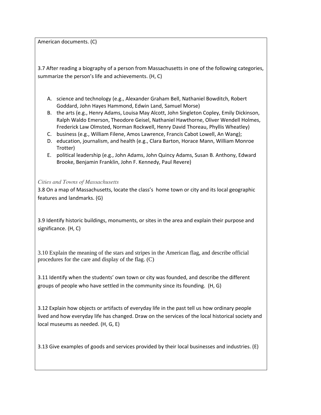American documents. (C)

3.7 After reading a biography of a person from Massachusetts in one of the following categories, summarize the person's life and achievements. (H, C)

- A. science and technology (e.g., Alexander Graham Bell, Nathaniel Bowditch, Robert Goddard, John Hayes Hammond, Edwin Land, Samuel Morse)
- B. the arts (e.g., Henry Adams, Louisa May Alcott, John Singleton Copley, Emily Dickinson, Ralph Waldo Emerson, Theodore Geisel, Nathaniel Hawthorne, Oliver Wendell Holmes, Frederick Law Olmsted, Norman Rockwell, Henry David Thoreau, Phyllis Wheatley)
- C. business (e.g., William Filene, Amos Lawrence, Francis Cabot Lowell, An Wang);
- D. education, journalism, and health (e.g., Clara Barton, Horace Mann, William Monroe Trotter)
- E. political leadership (e.g., John Adams, John Quincy Adams, Susan B. Anthony, Edward Brooke, Benjamin Franklin, John F. Kennedy, Paul Revere)

#### *Cities and Towns of Massachusetts*

3.8 On a map of Massachusetts, locate the class's home town or city and its local geographic features and landmarks. (G)

3.9 Identify historic buildings, monuments, or sites in the area and explain their purpose and significance. (H, C)

3.10 Explain the meaning of the stars and stripes in the American flag, and describe official procedures for the care and display of the flag. (C)

3.11 Identify when the students' own town or city was founded, and describe the different groups of people who have settled in the community since its founding. (H, G)

3.12 Explain how objects or artifacts of everyday life in the past tell us how ordinary people lived and how everyday life has changed. Draw on the services of the local historical society and local museums as needed. (H, G, E)

3.13 Give examples of goods and services provided by their local businesses and industries. (E)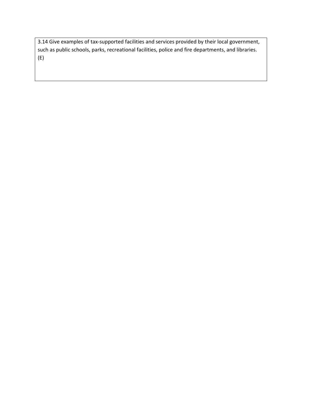3.14 Give examples of tax-supported facilities and services provided by their local government, such as public schools, parks, recreational facilities, police and fire departments, and libraries. (E)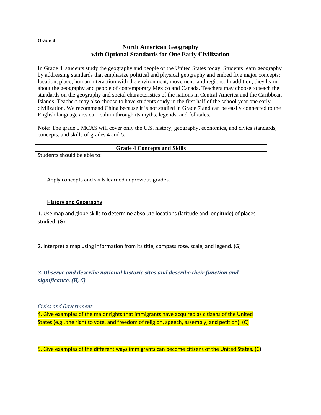#### **Grade 4**

#### **North American Geography with Optional Standards for One Early Civilization**

In Grade 4, students study the geography and people of the United States today. Students learn geography by addressing standards that emphasize political and physical geography and embed five major concepts: location, place, human interaction with the environment, movement, and regions. In addition, they learn about the geography and people of contemporary Mexico and Canada. Teachers may choose to teach the standards on the geography and social characteristics of the nations in Central America and the Caribbean Islands. Teachers may also choose to have students study in the first half of the school year one early civilization. We recommend China because it is not studied in Grade 7 and can be easily connected to the English language arts curriculum through its myths, legends, and folktales.

Note: The grade 5 MCAS will cover only the U.S. history, geography, economics, and civics standards, concepts, and skills of grades 4 and 5.

| <b>Grade 4 Concepts and Skills</b>                                                                                           |
|------------------------------------------------------------------------------------------------------------------------------|
| Students should be able to:                                                                                                  |
| Apply concepts and skills learned in previous grades.                                                                        |
| <b>History and Geography</b>                                                                                                 |
| 1. Use map and globe skills to determine absolute locations (latitude and longitude) of places<br>studied. (G)               |
| 2. Interpret a map using information from its title, compass rose, scale, and legend. (G)                                    |
| 3. Observe and describe national historic sites and describe their function and<br>significance. (H, C)                      |
| <b>Civics and Government</b><br>4. Give examples of the major rights that immigrants have acquired as citizens of the United |
| States (e.g., the right to vote, and freedom of religion, speech, assembly, and petition). (C)                               |
| 5. Give examples of the different ways immigrants can become citizens of the United States. (C)                              |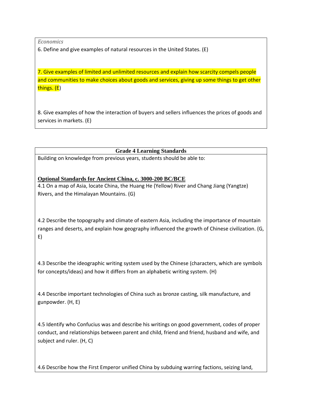*Economics* 

6. Define and give examples of natural resources in the United States. (E)

7. Give examples of limited and unlimited resources and explain how scarcity compels people and communities to make choices about goods and services, giving up some things to get other things. (E)

8. Give examples of how the interaction of buyers and sellers influences the prices of goods and services in markets. (E)

#### **Grade 4 Learning Standards**

Building on knowledge from previous years, students should be able to:

#### **Optional Standards for Ancient China, c. 3000-200 BC/BCE**

4.1 On a map of Asia, locate China, the Huang He (Yellow) River and Chang Jiang (Yangtze) Rivers, and the Himalayan Mountains. (G)

4.2 Describe the topography and climate of eastern Asia, including the importance of mountain ranges and deserts, and explain how geography influenced the growth of Chinese civilization. (G, E)

4.3 Describe the ideographic writing system used by the Chinese (characters, which are symbols for concepts/ideas) and how it differs from an alphabetic writing system. (H)

4.4 Describe important technologies of China such as bronze casting, silk manufacture, and gunpowder. (H, E)

4.5 Identify who Confucius was and describe his writings on good government, codes of proper conduct, and relationships between parent and child, friend and friend, husband and wife, and subject and ruler. (H, C)

4.6 Describe how the First Emperor unified China by subduing warring factions, seizing land,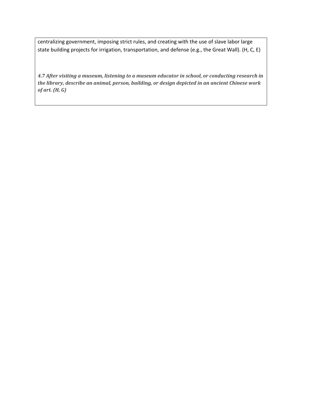centralizing government, imposing strict rules, and creating with the use of slave labor large state building projects for irrigation, transportation, and defense (e.g., the Great Wall). (H, C, E)

*4.7 After visiting a museum, listening to a museum educator in school, or conducting research in the library, describe an animal, person, building, or design depicted in an ancient Chinese work of art. (H, G)*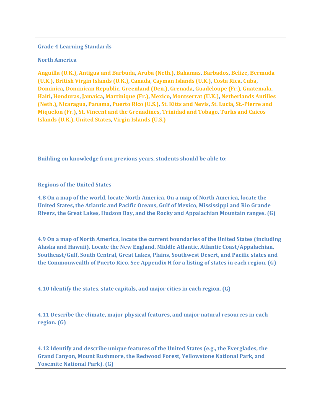**Grade 4 Learning Standards**

**North America** 

**Anguilla (U.K.), Antigua and Barbuda, Aruba (Neth.), Bahamas, Barbados, Belize, Bermuda (U.K.), British Virgin Islands (U.K.), Canada, Cayman Islands (U.K.), Costa Rica, Cuba, Dominica, Dominican Republic, Greenland (Den.), Grenada, Guadeloupe (Fr.), Guatemala, Haiti, Honduras, Jamaica, Martinique (Fr.), Mexico, Montserrat (U.K.), Netherlands Antilles (Neth.), Nicaragua, Panama, Puerto Rico (U.S.), St. Kitts and Nevis, St. Lucia, St.‐Pierre and Miquelon (Fr.), St. Vincent and the Grenadines, Trinidad and Tobago, Turks and Caicos Islands (U.K.), United States, Virgin Islands (U.S.)**

**Building on knowledge from previous years, students should be able to:** 

**Regions of the United States**

**4.8 On a map of the world, locate North America. On a map of North America, locate the United States, the Atlantic and Pacific Oceans, Gulf of Mexico, Mississippi and Rio Grande Rivers, the Great Lakes, Hudson Bay, and the Rocky and Appalachian Mountain ranges. (G)**

**4.9 On a map of North America, locate the current boundaries of the United States (including Alaska and Hawaii). Locate the New England, Middle Atlantic, Atlantic Coast/Appalachian, Southeast/Gulf, South Central, Great Lakes, Plains, Southwest Desert, and Pacific states and the Commonwealth of Puerto Rico. See Appendix H for a listing of states in each region. (G)**

**4.10 Identify the states, state capitals, and major cities in each region. (G)**

**4.11 Describe the climate, major physical features, and major natural resources in each region. (G)**

**4.12 Identify and describe unique features of the United States (e.g., the Everglades, the Grand Canyon, Mount Rushmore, the Redwood Forest, Yellowstone National Park, and Yosemite National Park). (G)**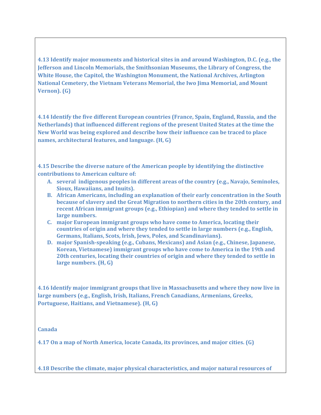**4.13 Identify major monuments and historical sites in and around Washington, D.C. (e.g., the Jefferson and Lincoln Memorials, the Smithsonian Museums, the Library of Congress, the White House, the Capitol, the Washington Monument, the National Archives, Arlington National Cemetery, the Vietnam Veterans Memorial, the Iwo Jima Memorial, and Mount Vernon). (G)**

**4.14 Identify the five different European countries (France, Spain, England, Russia, and the Netherlands) that influenced different regions of the present United States at the time the New World was being explored and describe how their influence can be traced to place names, architectural features, and language. (H, G)**

**4.15 Describe the diverse nature of the American people by identifying the distinctive contributions to American culture of:** 

- **A. several indigenous peoples in different areas of the country (e.g., Navajo, Seminoles, Sioux, Hawaiians, and Inuits).**
- **B. African Americans, including an explanation of their early concentration in the South because of slavery and the Great Migration to northern cities in the 20th century, and recent African immigrant groups (e.g., Ethiopian) and where they tended to settle in large numbers.**
- **C. major European immigrant groups who have come to America, locating their countries of origin and where they tended to settle in large numbers (e.g., English, Germans, Italians, Scots, Irish, Jews, Poles, and Scandinavians).**
- **D. major Spanish‐speaking (e.g., Cubans, Mexicans) and Asian (e.g., Chinese, Japanese, Korean, Vietnamese) immigrant groups who have come to America in the 19th and 20th centuries, locating their countries of origin and where they tended to settle in large numbers. (H, G)**

**4.16 Identify major immigrant groups that live in Massachusetts and where they now live in large numbers (e.g., English, Irish, Italians, French Canadians, Armenians, Greeks, Portuguese, Haitians, and Vietnamese). (H, G)**

**Canada** 

**4.17 On a map of North America, locate Canada, its provinces, and major cities. (G)**

**4.18 Describe the climate, major physical characteristics, and major natural resources of**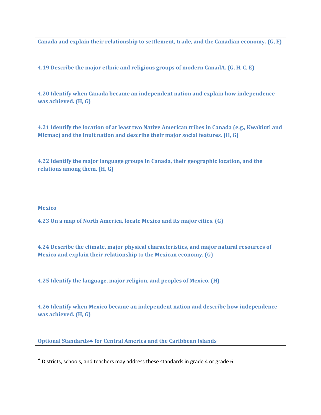**Canada and explain their relationship to settlement, trade, and the Canadian economy. (G, E)**

**4.19 Describe the major ethnic and religious groups of modern CanadA. (G, H, C, E)**

**4.20 Identify when Canada became an independent nation and explain how independence was** achieved. **(H, G)** 

**4.21 Identify the location of at least two Native American tribes in Canada (e.g., Kwakiutl and Micmac) and the Inuit nation and describe their major social features. (H, G)**

**4.22 Identify the major language groups in Canada, their geographic location, and the relations among them. (H, G)**

**Mexico**

**4.23 On a map of North America, locate Mexico and its major cities. (G)**

**4.24 Describe the climate, major physical characteristics, and major natural resources of Mexico and explain their relationship to the Mexican economy. (G)**

**4.25 Identify the language, major religion, and peoples of Mexico. (H)**

**4.26 Identify when Mexico became an independent nation and describe how independence was achieved. (H, G)**

**Optional Standards for Central America and the Caribbean Islands**

Districts, schools, and teachers may address these standards in grade 4 or grade 6.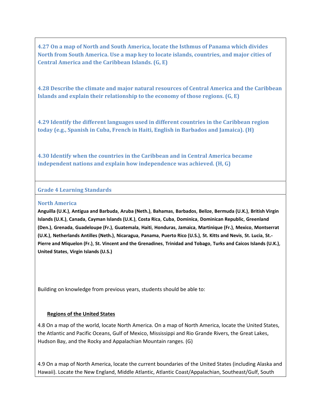**4.27 On a map of North and South America, locate the Isthmus of Panama which divides North from South America. Use a map key to locate islands, countries, and major cities of Central America and the Caribbean Islands. (G, E)**

**4.28 Describe the climate and major natural resources of Central America and the Caribbean Islands and explain their relationship to the economy of those regions. (G, E)**

**4.29 Identify the different languages used in different countries in the Caribbean region today (e.g., Spanish in Cuba, French in Haiti, English in Barbados and Jamaica). (H)**

**4.30 Identify when the countries in the Caribbean and in Central America became independent nations and explain how independence was achieved. (H, G)**

#### **Grade 4 Learning Standards**

#### **North America**

**Anguilla (U.K.)**, **Antigua and Barbuda**, **Aruba (Neth.)**, **Bahamas**, **Barbados**, **Belize**, **Bermuda (U.K.)**, **British Virgin Islands (U.K.)**, **Canada**, **Cayman Islands (U.K.)**, **Costa Rica**, **Cuba**, **Dominica**, **Dominican Republic**, **Greenland (Den.)**, **Grenada**, **Guadeloupe (Fr.)**, **Guatemala**, **Haiti**, **Honduras**, **Jamaica**, **Martinique (Fr.)**, **Mexico**, **Montserrat** (U.K.), Netherlands Antilles (Neth.), Nicaragua, Panama, Puerto Rico (U.S.), St. Kitts and Nevis, St. Lucia, St.-Pierre and Miquelon (Fr.), St. Vincent and the Grenadines, Trinidad and Tobago, Turks and Caicos Islands (U.K.), **United States**, **Virgin Islands (U.S.)**

Building on knowledge from previous years, students should be able to:

#### **Regions of the United States**

4.8 On a map of the world, locate North America. On a map of North America, locate the United States, the Atlantic and Pacific Oceans, Gulf of Mexico, Mississippi and Rio Grande Rivers, the Great Lakes, Hudson Bay, and the Rocky and Appalachian Mountain ranges. (G)

4.9 On a map of North America, locate the current boundaries of the United States (including Alaska and Hawaii). Locate the New England, Middle Atlantic, Atlantic Coast/Appalachian, Southeast/Gulf, South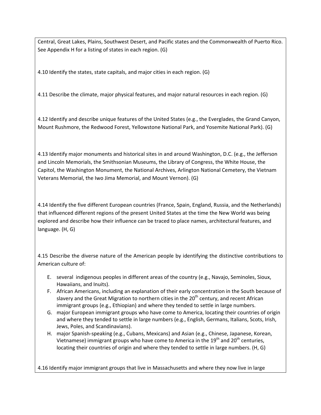Central, Great Lakes, Plains, Southwest Desert, and Pacific states and the Commonwealth of Puerto Rico. See Appendix H for a listing of states in each region. (G)

4.10 Identify the states, state capitals, and major cities in each region. (G)

4.11 Describe the climate, major physical features, and major natural resources in each region. (G)

4.12 Identify and describe unique features of the United States (e.g., the Everglades, the Grand Canyon, Mount Rushmore, the Redwood Forest, Yellowstone National Park, and Yosemite National Park). (G)

4.13 Identify major monuments and historical sites in and around Washington, D.C. (e.g., the Jefferson and Lincoln Memorials, the Smithsonian Museums, the Library of Congress, the White House, the Capitol, the Washington Monument, the National Archives, Arlington National Cemetery, the Vietnam Veterans Memorial, the Iwo Jima Memorial, and Mount Vernon). (G)

4.14 Identify the five different European countries (France, Spain, England, Russia, and the Netherlands) that influenced different regions of the present United States at the time the New World was being explored and describe how their influence can be traced to place names, architectural features, and language. (H, G)

4.15 Describe the diverse nature of the American people by identifying the distinctive contributions to American culture of:

- E. several indigenous peoples in different areas of the country (e.g., Navajo, Seminoles, Sioux, Hawaiians, and Inuits).
- F. African Americans, including an explanation of their early concentration in the South because of slavery and the Great Migration to northern cities in the 20<sup>th</sup> century, and recent African immigrant groups (e.g., Ethiopian) and where they tended to settle in large numbers.
- G. major European immigrant groups who have come to America, locating their countries of origin and where they tended to settle in large numbers (e.g., English, Germans, Italians, Scots, Irish, Jews, Poles, and Scandinavians).
- H. major Spanish‐speaking (e.g., Cubans, Mexicans) and Asian (e.g., Chinese, Japanese, Korean, Vietnamese) immigrant groups who have come to America in the  $19<sup>th</sup>$  and  $20<sup>th</sup>$  centuries, locating their countries of origin and where they tended to settle in large numbers. (H, G)

4.16 Identify major immigrant groups that live in Massachusetts and where they now live in large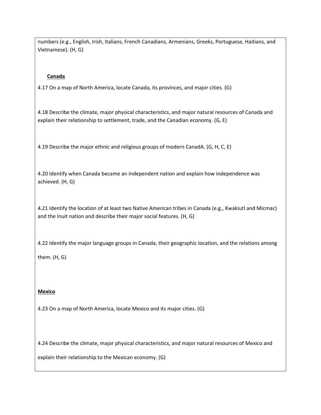numbers (e.g., English, Irish, Italians, French Canadians, Armenians, Greeks, Portuguese, Haitians, and Vietnamese). (H, G)

#### **Canada**

4.17 On a map of North America, locate Canada, its provinces, and major cities. (G)

4.18 Describe the climate, major physical characteristics, and major natural resources of Canada and explain their relationship to settlement, trade, and the Canadian economy. (G, E)

4.19 Describe the major ethnic and religious groups of modern CanadA. (G, H, C, E)

4.20 Identify when Canada became an independent nation and explain how independence was achieved. (H, G)

4.21 Identify the location of at least two Native American tribes in Canada (e.g., Kwakiutl and Micmac) and the Inuit nation and describe their major social features. (H, G)

4.22 Identify the major language groups in Canada, their geographic location, and the relations among

them. (H, G)

#### **Mexico**

4.23 On a map of North America, locate Mexico and its major cities. (G)

4.24 Describe the climate, major physical characteristics, and major natural resources of Mexico and

explain their relationship to the Mexican economy. (G)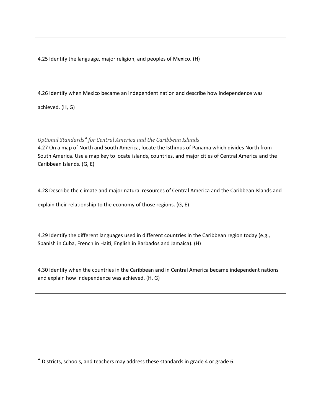4.25 Identify the language, major religion, and peoples of Mexico. (H)

4.26 Identify when Mexico became an independent nation and describe how independence was

achieved. (H, G)

*Optional Standards for Central America and the Caribbean Islands*

4.27 On a map of North and South America, locate the Isthmus of Panama which divides North from South America. Use a map key to locate islands, countries, and major cities of Central America and the Caribbean Islands. (G, E)

4.28 Describe the climate and major natural resources of Central America and the Caribbean Islands and

explain their relationship to the economy of those regions. (G, E)

4.29 Identify the different languages used in different countries in the Caribbean region today (e.g., Spanish in Cuba, French in Haiti, English in Barbados and Jamaica). (H)

4.30 Identify when the countries in the Caribbean and in Central America became independent nations and explain how independence was achieved. (H, G)

Districts, schools, and teachers may address these standards in grade 4 or grade 6.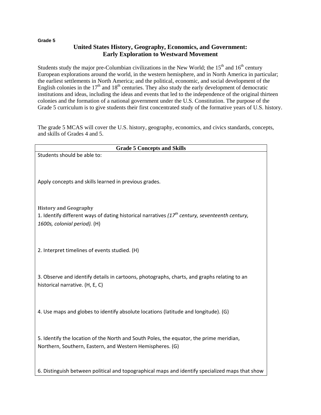#### **Grade 5**

#### **United States History, Geography, Economics, and Government: Early Exploration to Westward Movement**

Students study the major pre-Columbian civilizations in the New World; the  $15<sup>th</sup>$  and  $16<sup>th</sup>$  century European explorations around the world, in the western hemisphere, and in North America in particular; the earliest settlements in North America; and the political, economic, and social development of the English colonies in the  $17<sup>th</sup>$  and  $18<sup>th</sup>$  centuries. They also study the early development of democratic institutions and ideas, including the ideas and events that led to the independence of the original thirteen colonies and the formation of a national government under the U.S. Constitution. The purpose of the Grade 5 curriculum is to give students their first concentrated study of the formative years of U.S. history.

The grade 5 MCAS will cover the U.S. history, geography, economics, and civics standards, concepts, and skills of Grades 4 and 5.

| <b>Grade 5 Concepts and Skills</b>                                                                                                                               |  |
|------------------------------------------------------------------------------------------------------------------------------------------------------------------|--|
| Students should be able to:                                                                                                                                      |  |
| Apply concepts and skills learned in previous grades.                                                                                                            |  |
| <b>History and Geography</b><br>1. Identify different ways of dating historical narratives $(17th$ century, seventeenth century,<br>1600s, colonial period). (H) |  |
| 2. Interpret timelines of events studied. (H)                                                                                                                    |  |
| 3. Observe and identify details in cartoons, photographs, charts, and graphs relating to an<br>historical narrative. (H, E, C)                                   |  |
| 4. Use maps and globes to identify absolute locations (latitude and longitude). (G)                                                                              |  |
| 5. Identify the location of the North and South Poles, the equator, the prime meridian,<br>Northern, Southern, Eastern, and Western Hemispheres. (G)             |  |
| 6. Distinguish between political and topographical maps and identify specialized maps that show                                                                  |  |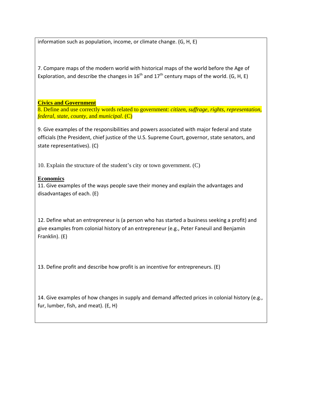information such as population, income, or climate change. (G, H, E)

7. Compare maps of the modern world with historical maps of the world before the Age of Exploration, and describe the changes in  $16^{th}$  and  $17^{th}$  century maps of the world. (G, H, E)

**Civics and Government** 

8. Define and use correctly words related to government: *citizen, suffrage, rights, representation, federal, state, county,* and *municipal*. (C)

9. Give examples of the responsibilities and powers associated with major federal and state officials (the President, chief justice of the U.S. Supreme Court, governor, state senators, and state representatives). (C)

10. Explain the structure of the student's city or town government. (C)

#### **Economics**

11. Give examples of the ways people save their money and explain the advantages and disadvantages of each. (E)

12. Define what an entrepreneur is (a person who has started a business seeking a profit) and give examples from colonial history of an entrepreneur (e.g., Peter Faneuil and Benjamin Franklin). (E)

13. Define profit and describe how profit is an incentive for entrepreneurs. (E)

14. Give examples of how changes in supply and demand affected prices in colonial history (e.g., fur, lumber, fish, and meat). (E, H)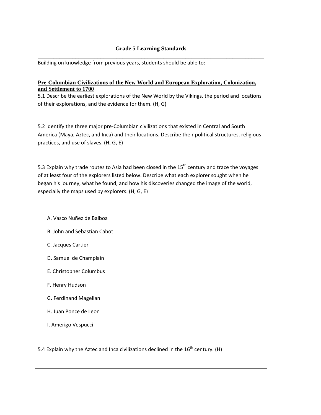#### **Grade 5 Learning Standards \_\_\_\_\_\_\_\_\_\_\_\_\_\_\_\_\_\_\_\_\_\_\_\_\_\_\_\_\_\_\_\_\_\_\_\_\_\_\_\_\_\_\_\_\_\_\_\_\_\_\_\_\_\_\_\_\_\_\_\_\_\_\_\_\_\_\_\_\_\_\_\_**

Building on knowledge from previous years, students should be able to:

#### **Pre-Columbian Civilizations of the New World and European Exploration, Colonization, and Settlement to 1700**

5.1 Describe the earliest explorations of the New World by the Vikings, the period and locations of their explorations, and the evidence for them. (H, G)

5.2 Identify the three major pre‐Columbian civilizations that existed in Central and South America (Maya, Aztec, and Inca) and their locations. Describe their political structures, religious practices, and use of slaves. (H, G, E)

5.3 Explain why trade routes to Asia had been closed in the  $15<sup>th</sup>$  century and trace the voyages of at least four of the explorers listed below. Describe what each explorer sought when he began his journey, what he found, and how his discoveries changed the image of the world, especially the maps used by explorers. (H, G, E)

- A. Vasco Nuñez de Balboa
- B. John and Sebastian Cabot
- C. Jacques Cartier
- D. Samuel de Champlain
- E. Christopher Columbus
- F. Henry Hudson
- G. Ferdinand Magellan
- H. Juan Ponce de Leon
- I. Amerigo Vespucci

5.4 Explain why the Aztec and Inca civilizations declined in the  $16<sup>th</sup>$  century. (H)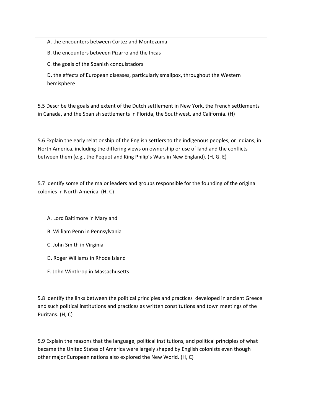A. the encounters between Cortez and Montezuma

B. the encounters between Pizarro and the Incas

C. the goals of the Spanish conquistadors

D. the effects of European diseases, particularly smallpox, throughout the Western hemisphere

5.5 Describe the goals and extent of the Dutch settlement in New York, the French settlements in Canada, and the Spanish settlements in Florida, the Southwest, and California. (H)

5.6 Explain the early relationship of the English settlers to the indigenous peoples, or Indians, in North America, including the differing views on ownership or use of land and the conflicts between them (e.g., the Pequot and King Philip's Wars in New England). (H, G, E)

5.7 Identify some of the major leaders and groups responsible for the founding of the original colonies in North America. (H, C)

A. Lord Baltimore in Maryland

B. William Penn in Pennsylvania

C. John Smith in Virginia

D. Roger Williams in Rhode Island

E. John Winthrop in Massachusetts

5.8 Identify the links between the political principles and practices developed in ancient Greece and such political institutions and practices as written constitutions and town meetings of the Puritans. (H, C)

5.9 Explain the reasons that the language, political institutions, and political principles of what became the United States of America were largely shaped by English colonists even though other major European nations also explored the New World. (H, C)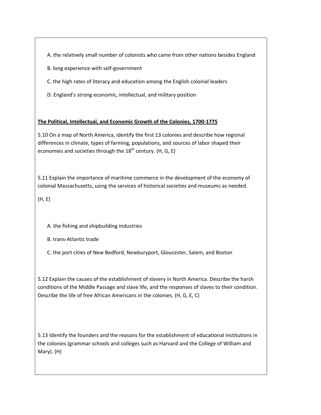A. the relatively small number of colonists who came from other nations besides England

B. long experience with self‐government

C. the high rates of literacy and education among the English colonial leaders

D. England's strong economic, intellectual, and military position

**The Political, Intellectual, and Economic Growth of the Colonies, 1700‐1775**

5.10 On a map of North America, identify the first 13 colonies and describe how regional differences in climate, types of farming, populations, and sources of labor shaped their economies and societies through the  $18^{th}$  century. (H, G, E)

5.11 Explain the importance of maritime commerce in the development of the economy of colonial Massachusetts, using the services of historical societies and museums as needed.

(H, E)

A. the fishing and shipbuilding industries

B. trans‐Atlantic trade

C. the port cities of New Bedford, Newburyport, Gloucester, Salem, and Boston

5.12 Explain the causes of the establishment of slavery in North America. Describe the harsh conditions of the Middle Passage and slave life, and the responses of slaves to their condition. Describe the life of free African Americans in the colonies. (H, G, E, C)

5.13 Identify the founders and the reasons for the establishment of educational institutions in the colonies (grammar schools and colleges such as Harvard and the College of William and Mary). (H)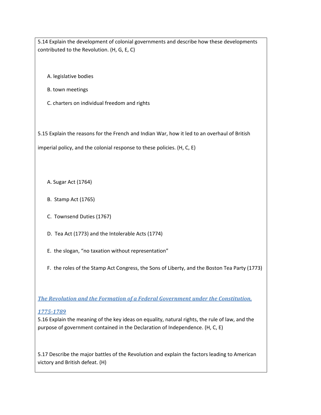5.14 Explain the development of colonial governments and describe how these developments contributed to the Revolution. (H, G, E, C)

A. legislative bodies

B. town meetings

C. charters on individual freedom and rights

5.15 Explain the reasons for the French and Indian War, how it led to an overhaul of British imperial policy, and the colonial response to these policies. (H, C, E)

A. Sugar Act (1764)

B. Stamp Act (1765)

- C. Townsend Duties (1767)
- D. Tea Act (1773) and the Intolerable Acts (1774)
- E. the slogan, "no taxation without representation"
- F. the roles of the Stamp Act Congress, the Sons of Liberty, and the Boston Tea Party (1773)

*The Revolution and the Formation of a Federal Government under the Constitution,*

#### *1775‐1789*

5.16 Explain the meaning of the key ideas on equality, natural rights, the rule of law, and the purpose of government contained in the Declaration of Independence. (H, C, E)

5.17 Describe the major battles of the Revolution and explain the factors leading to American victory and British defeat. (H)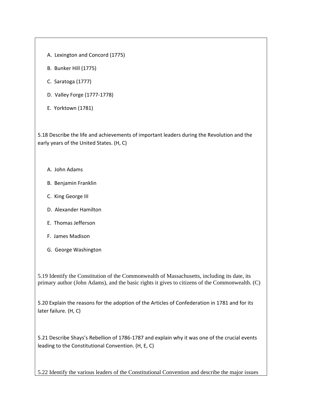- A. Lexington and Concord (1775)
- B. Bunker Hill (1775)
- C. Saratoga (1777)
- D. Valley Forge (1777‐1778)
- E. Yorktown (1781)

5.18 Describe the life and achievements of important leaders during the Revolution and the early years of the United States. (H, C)

- A. John Adams
- B. Benjamin Franklin
- C. King George III
- D. Alexander Hamilton
- E. Thomas Jefferson
- F. James Madison
- G. George Washington

5.19 Identify the Constitution of the Commonwealth of Massachusetts, including its date, its primary author (John Adams), and the basic rights it gives to citizens of the Commonwealth. (C)

5.20 Explain the reasons for the adoption of the Articles of Confederation in 1781 and for its later failure. (H, C)

5.21 Describe Shays's Rebellion of 1786‐1787 and explain why it was one of the crucial events leading to the Constitutional Convention. (H, E, C)

5.22 Identify the various leaders of the Constitutional Convention and describe the major issues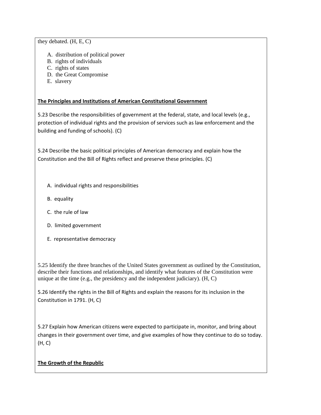they debated. (H, E, C)

- A. distribution of political power
- B. rights of individuals
- C. rights of states
- D. the Great Compromise
- E. slavery

#### **The Principles and Institutions of American Constitutional Government**

5.23 Describe the responsibilities of government at the federal, state, and local levels (e.g., protection of individual rights and the provision of services such as law enforcement and the building and funding of schools). (C)

5.24 Describe the basic political principles of American democracy and explain how the Constitution and the Bill of Rights reflect and preserve these principles. (C)

- A. individual rights and responsibilities
- B. equality
- C. the rule of law
- D. limited government
- E. representative democracy

5.25 Identify the three branches of the United States government as outlined by the Constitution, describe their functions and relationships, and identify what features of the Constitution were unique at the time (e.g., the presidency and the independent judiciary). (H, C)

5.26 Identify the rights in the Bill of Rights and explain the reasons for its inclusion in the Constitution in 1791. (H, C)

5.27 Explain how American citizens were expected to participate in, monitor, and bring about changes in their government over time, and give examples of how they continue to do so today. (H, C)

#### **The Growth of the Republic**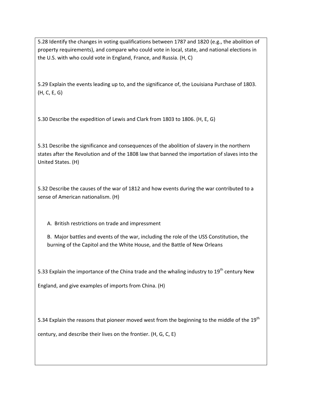5.28 Identify the changes in voting qualifications between 1787 and 1820 (e.g., the abolition of property requirements), and compare who could vote in local, state, and national elections in the U.S. with who could vote in England, France, and Russia. (H, C)

5.29 Explain the events leading up to, and the significance of, the Louisiana Purchase of 1803. (H, C, E, G)

5.30 Describe the expedition of Lewis and Clark from 1803 to 1806. (H, E, G)

5.31 Describe the significance and consequences of the abolition of slavery in the northern states after the Revolution and of the 1808 law that banned the importation of slaves into the United States. (H)

5.32 Describe the causes of the war of 1812 and how events during the war contributed to a sense of American nationalism. (H)

A. British restrictions on trade and impressment

B. Major battles and events of the war, including the role of the USS Constitution, the burning of the Capitol and the White House, and the Battle of New Orleans

5.33 Explain the importance of the China trade and the whaling industry to 19<sup>th</sup> century New

England, and give examples of imports from China. (H)

5.34 Explain the reasons that pioneer moved west from the beginning to the middle of the  $19<sup>th</sup>$ century, and describe their lives on the frontier. (H, G, C, E)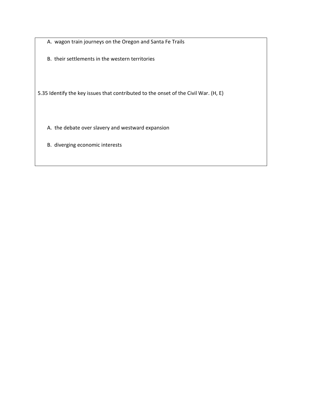A. wagon train journeys on the Oregon and Santa Fe Trails

B. their settlements in the western territories

5.35 Identify the key issues that contributed to the onset of the Civil War. (H, E)

- A. the debate over slavery and westward expansion
- B. diverging economic interests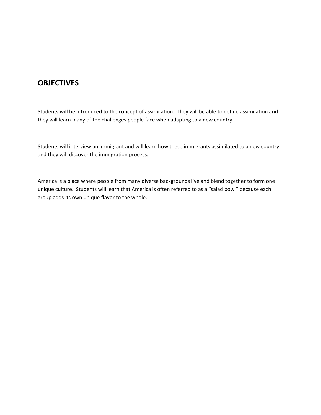## **OBJECTIVES**

Students will be introduced to the concept of assimilation. They will be able to define assimilation and they will learn many of the challenges people face when adapting to a new country.

Students will interview an immigrant and will learn how these immigrants assimilated to a new country and they will discover the immigration process.

America is a place where people from many diverse backgrounds live and blend together to form one unique culture. Students will learn that America is often referred to as a "salad bowl" because each group adds its own unique flavor to the whole.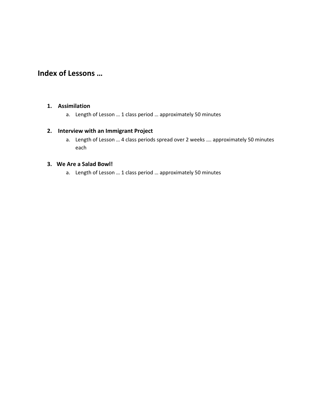## **Index of Lessons …**

#### **1. Assimilation**

a. Length of Lesson … 1 class period … approximately 50 minutes

#### **2. Interview with an Immigrant Project**

a. Length of Lesson … 4 class periods spread over 2 weeks …. approximately 50 minutes each

#### **3. We Are a Salad Bowl!**

a. Length of Lesson … 1 class period … approximately 50 minutes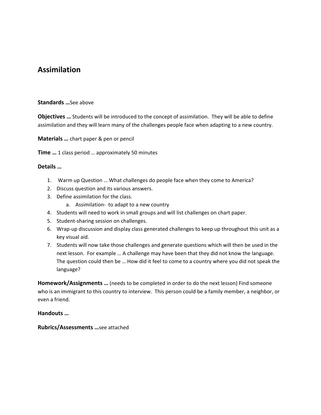# **Assimilation**

**Standards …**See above

**Objectives …** Students will be introduced to the concept of assimilation. They will be able to define assimilation and they will learn many of the challenges people face when adapting to a new country.

**Materials …** chart paper & pen or pencil

**Time …** 1 class period … approximately 50 minutes

#### **Details …**

- 1. Warm up Question … What challenges do people face when they come to America?
- 2. Discuss question and its various answers.
- 3. Define assimilation for the class.
	- a. Assimilation- to adapt to a new country
- 4. Students will need to work in small groups and will list challenges on chart paper.
- 5. Student‐sharing session on challenges.
- 6. Wrap‐up discussion and display class generated challenges to keep up throughout this unit as a key visual aid.
- 7. Students will now take those challenges and generate questions which will then be used in the next lesson. For example … A challenge may have been that they did not know the language. The question could then be … How did it feel to come to a country where you did not speak the language?

**Homework/Assignments …** (needs to be completed in order to do the next lesson) Find someone who is an immigrant to this country to interview. This person could be a family member, a neighbor, or even a friend.

**Handouts …** 

**Rubrics/Assessments …**see attached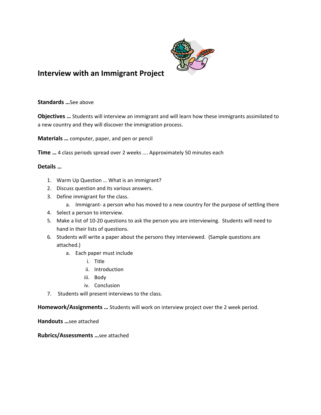

# **Interview with an Immigrant Project**

**Standards …**See above

**Objectives …** Students will interview an immigrant and will learn how these immigrants assimilated to a new country and they will discover the immigration process.

**Materials …** computer, paper, and pen or pencil

**Time …** 4 class periods spread over 2 weeks …. Approximately 50 minutes each

#### **Details …**

- 1. Warm Up Question … What is an immigrant?
- 2. Discuss question and its various answers.
- 3. Define immigrant for the class.
	- a. Immigrant- a person who has moved to a new country for the purpose of settling there
- 4. Select a person to interview.
- 5. Make a list of 10‐20 questions to ask the person you are interviewing. Students will need to hand in their lists of questions.
- 6. Students will write a paper about the persons they interviewed. (Sample questions are attached.)
	- a. Each paper must include
		- i. Title
		- ii. Introduction
		- iii. Body
		- iv. Conclusion
- 7. Students will present interviews to the class.

**Homework/Assignments …** Students will work on interview project over the 2 week period.

**Handouts …**see attached

#### **Rubrics/Assessments …**see attached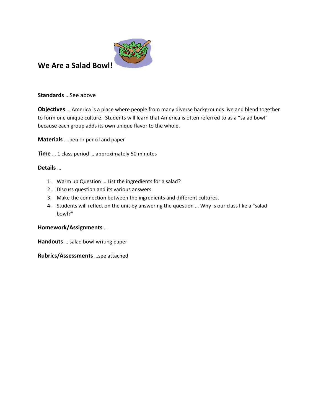

# **We Are e a Salad d Bowl!**

#### **Standards** ...See above

Objectives ... America is a place where people from many diverse backgrounds live and blend together to form one unique culture. Students will learn that America is often referred to as a "salad bowl" because each group adds its own unique flavor to the whole.

Materials ... pen or pencil and paper

**Time** ... 1 class period ... approximately 50 minutes

#### **Details** …

- 1. Warm up Question ... List the ingredients for a salad?
- 2. Discuss question and its various answers.
- 1. Warm up Question ... List the ingredients for a salad?<br>2. Discuss question and its various answers.<br>3. Make the connection between the ingredients and different cultures.
- 4. Students will reflect on the unit by answering the question ... Why is our class like a "salad b owl?"

#### **Homewo ork/Assignm ments** …

Handouts ... salad bowl writing paper

**Rubrics/A Assessment ts** …see attach hed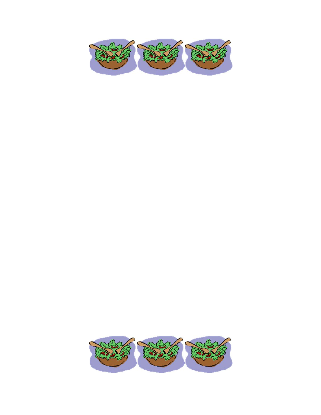

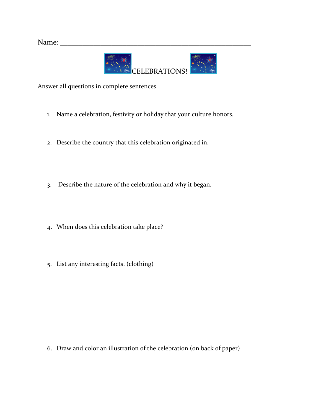Name:



Answer all questions in complete sentences.

- 1. Name a celebration, festivity or holiday that your culture honors.
- 2. Describe the country that this celebration originated in.
- 3. Describe the nature of the celebration and why it began.
- 4. When does this celebration take place?
- 5. List any interesting facts. (clothing)

6. Draw and color an illustration of the celebration.(on back of paper)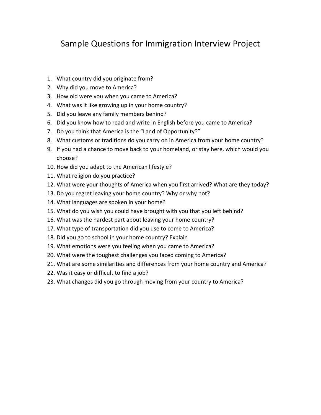# Sample Questions for Immigration Interview Project

- 1. What country did you originate from?
- 2. Why did you move to America?
- 3. How old were you when you came to America?
- 4. What was it like growing up in your home country?
- 5. Did you leave any family members behind?
- 6. Did you know how to read and write in English before you came to America?
- 7. Do you think that America is the "Land of Opportunity?"
- 8. What customs or traditions do you carry on in America from your home country?
- 9. If you had a chance to move back to your homeland, or stay here, which would you choose?
- 10. How did you adapt to the American lifestyle?
- 11. What religion do you practice?
- 12. What were your thoughts of America when you first arrived? What are they today?
- 13. Do you regret leaving your home country? Why or why not?
- 14. What languages are spoken in your home?
- 15. What do you wish you could have brought with you that you left behind?
- 16. What was the hardest part about leaving your home country?
- 17. What type of transportation did you use to come to America?
- 18. Did you go to school in your home country? Explain
- 19. What emotions were you feeling when you came to America?
- 20. What were the toughest challenges you faced coming to America?
- 21. What are some similarities and differences from your home country and America?
- 22. Was it easy or difficult to find a job?
- 23. What changes did you go through moving from your country to America?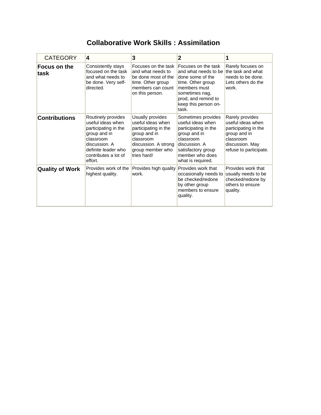# **Collaborative Work Skills : Assimilation**

| <b>CATEGORY</b>        | $\overline{\mathbf{4}}$                                                                                                                                                 | 3                                                                                                                                                     | $\mathbf{2}$                                                                                                                                                                   | 1                                                                                                                                      |
|------------------------|-------------------------------------------------------------------------------------------------------------------------------------------------------------------------|-------------------------------------------------------------------------------------------------------------------------------------------------------|--------------------------------------------------------------------------------------------------------------------------------------------------------------------------------|----------------------------------------------------------------------------------------------------------------------------------------|
| Focus on the<br>task   | Consistently stays<br>focused on the task<br>and what needs to<br>be done. Very self-<br>directed.                                                                      | Focuses on the task<br>and what needs to<br>be done most of the<br>time. Other group<br>members can count<br>on this person.                          | Focuses on the task<br>and what needs to be<br>done some of the<br>time. Other group<br>members must<br>sometimes nag,<br>prod, and remind to<br>keep this person on-<br>task. | Rarely focuses on<br>the task and what<br>needs to be done.<br>Lets others do the<br>work.                                             |
| <b>Contributions</b>   | Routinely provides<br>useful ideas when<br>participating in the<br>group and in<br>classroom<br>discussion. A<br>definite leader who<br>contributes a lot of<br>effort. | Usually provides<br>useful ideas when<br>participating in the<br>group and in<br>classroom<br>discussion. A strong<br>group member who<br>tries hard! | Sometimes provides<br>useful ideas when<br>participating in the<br>group and in<br>classroom<br>discussion. A<br>satisfactory group<br>member who does<br>what is required.    | Rarely provides<br>useful ideas when<br>participating in the<br>group and in<br>classroom<br>discussion. May<br>refuse to participate. |
| <b>Quality of Work</b> | Provides work of the<br>highest quality.                                                                                                                                | Provides high quality<br>work.                                                                                                                        | Provides work that<br>occasionally needs to<br>be checked/redone<br>by other group<br>members to ensure<br>quality.                                                            | Provides work that<br>usually needs to be<br>checked/redone by<br>others to ensure<br>quality.                                         |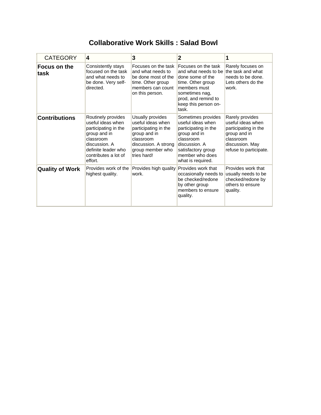# **Collaborative Work Skills : Salad Bowl**

| <b>CATEGORY</b>        | $\overline{\mathbf{4}}$                                                                                                                                                 | 3                                                                                                                                                     | $\mathbf{2}$                                                                                                                                                                   | 1                                                                                                                                      |
|------------------------|-------------------------------------------------------------------------------------------------------------------------------------------------------------------------|-------------------------------------------------------------------------------------------------------------------------------------------------------|--------------------------------------------------------------------------------------------------------------------------------------------------------------------------------|----------------------------------------------------------------------------------------------------------------------------------------|
| Focus on the<br>task   | Consistently stays<br>focused on the task<br>and what needs to<br>be done. Very self-<br>directed.                                                                      | Focuses on the task<br>and what needs to<br>be done most of the<br>time. Other group<br>members can count<br>on this person.                          | Focuses on the task<br>and what needs to be<br>done some of the<br>time. Other group<br>members must<br>sometimes nag,<br>prod, and remind to<br>keep this person on-<br>task. | Rarely focuses on<br>the task and what<br>needs to be done.<br>Lets others do the<br>work.                                             |
| <b>Contributions</b>   | Routinely provides<br>useful ideas when<br>participating in the<br>group and in<br>classroom<br>discussion. A<br>definite leader who<br>contributes a lot of<br>effort. | Usually provides<br>useful ideas when<br>participating in the<br>group and in<br>classroom<br>discussion. A strong<br>group member who<br>tries hard! | Sometimes provides<br>useful ideas when<br>participating in the<br>group and in<br>classroom<br>discussion. A<br>satisfactory group<br>member who does<br>what is required.    | Rarely provides<br>useful ideas when<br>participating in the<br>group and in<br>classroom<br>discussion. May<br>refuse to participate. |
| <b>Quality of Work</b> | Provides work of the<br>highest quality.                                                                                                                                | Provides high quality<br>work.                                                                                                                        | Provides work that<br>occasionally needs to<br>be checked/redone<br>by other group<br>members to ensure<br>quality.                                                            | Provides work that<br>usually needs to be<br>checked/redone by<br>others to ensure<br>quality.                                         |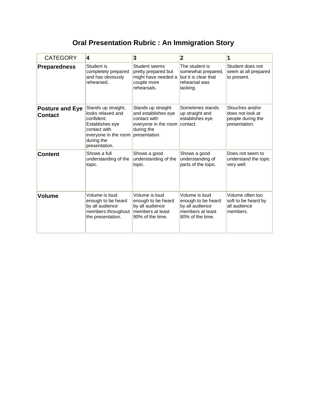# **Oral Presentation Rubric : An Immigration Story**

| <b>CATEGORY</b>                   | 4                                                                                                                                                | 3                                                                                                                | $\mathbf{2}$                                                                                    | 1                                                                         |
|-----------------------------------|--------------------------------------------------------------------------------------------------------------------------------------------------|------------------------------------------------------------------------------------------------------------------|-------------------------------------------------------------------------------------------------|---------------------------------------------------------------------------|
| <b>Preparedness</b>               | Student is<br>completely prepared<br>and has obviously<br>rehearsed.                                                                             | Student seems<br>pretty prepared but<br>might have needed a<br>couple more<br>rehearsals.                        | The student is<br>somewhat prepared,<br>but it is clear that<br>rehearsal was<br>lacking.       | Student does not<br>seem at all prepared<br>to present.                   |
| <b>Posture and Eye</b><br>Contact | Stands up straight,<br>looks relaxed and<br>confident.<br>Establishes eye<br>contact with<br>everyone in the room<br>during the<br>presentation. | Stands up straight<br>and establishes eye<br>contact with<br>everyone in the room<br>during the<br>presentation. | Sometimes stands<br>up straight and<br>establishes eve<br>contact.                              | Slouches and/or<br>does not look at<br>people during the<br>presentation. |
| <b>Content</b>                    | Shows a full<br>understanding of the<br>topic.                                                                                                   | Shows a good<br>understanding of the<br>topic.                                                                   | Shows a good<br>understanding of<br>parts of the topic.                                         | Does not seem to<br>understand the topic<br>very well.                    |
| Volume                            | Volume is loud<br>enough to be heard<br>by all audience<br>members throughout<br>the presentation.                                               | Volume is loud<br>enough to be heard<br>by all audience<br>members at least<br>90% of the time.                  | Volume is loud<br>enough to be heard<br>by all audience<br>members at least<br>80% of the time. | Volume often too<br>soft to be heard by<br>all audience<br>members.       |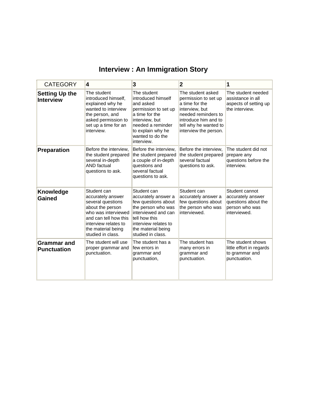# **Interview : An Immigration Story**

| <b>CATEGORY</b>                           | 4                                                                                                                                                                                            | 3                                                                                                                                                                                          | $\overline{2}$                                                                                                                                                                 | 1                                                                                            |
|-------------------------------------------|----------------------------------------------------------------------------------------------------------------------------------------------------------------------------------------------|--------------------------------------------------------------------------------------------------------------------------------------------------------------------------------------------|--------------------------------------------------------------------------------------------------------------------------------------------------------------------------------|----------------------------------------------------------------------------------------------|
| <b>Setting Up the</b><br><b>Interview</b> | The student<br>introduced himself,<br>explained why he<br>wanted to interview<br>the person, and<br>asked permission to<br>set up a time for an<br>interview.                                | The student<br>introduced himself<br>and asked<br>permission to set up<br>a time for the<br>interview, but<br>needed a reminder<br>to explain why he<br>wanted to do the<br>interview.     | The student asked<br>permission to set up<br>a time for the<br>interview, but<br>needed reminders to<br>introduce him and to<br>tell why he wanted to<br>interview the person. | The student needed<br>assistance in all<br>aspects of setting up<br>the interview.           |
| <b>Preparation</b>                        | Before the interview,<br>the student prepared<br>several in-depth<br><b>AND</b> factual<br>questions to ask.                                                                                 | Before the interview,<br>the student prepared<br>a couple of in-depth<br>questions and<br>several factual<br>questions to ask.                                                             | Before the interview,<br>the student prepared<br>several factual<br>questions to ask.                                                                                          | The student did not<br>prepare any<br>questions before the<br>interview.                     |
| Knowledge<br><b>Gained</b>                | Student can<br>accurately answer<br>several questions<br>about the person<br>who was interviewed<br>and can tell how this<br>interview relates to<br>the material being<br>studied in class. | Student can<br>accurately answer a<br>few questions about<br>the person who was<br>interviewed and can<br>tell how this<br>interview relates to<br>the material being<br>studied in class. | Student can<br>accurately answer a<br>few questions about<br>the person who was<br>interviewed.                                                                                | Student cannot<br>accurately answer<br>questions about the<br>person who was<br>interviewed. |
| <b>Grammar</b> and<br><b>Punctuation</b>  | The student will use<br>proper grammar and<br>punctuation.                                                                                                                                   | The student has a<br>few errors in<br>grammar and<br>punctuation,                                                                                                                          | The student has<br>many errors in<br>grammar and<br>punctuation.                                                                                                               | The student shows<br>little effort in regards<br>to grammar and<br>punctuation.              |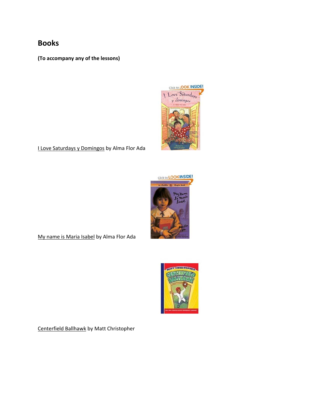# **Books**

**(To accom mpany any of f the lessons)**



I Love Saturdays y Domingos by Alma Flor Ada



My name is Maria Isabel by Alma Flor Ada



Centerfield Ballhawk by Matt Christopher